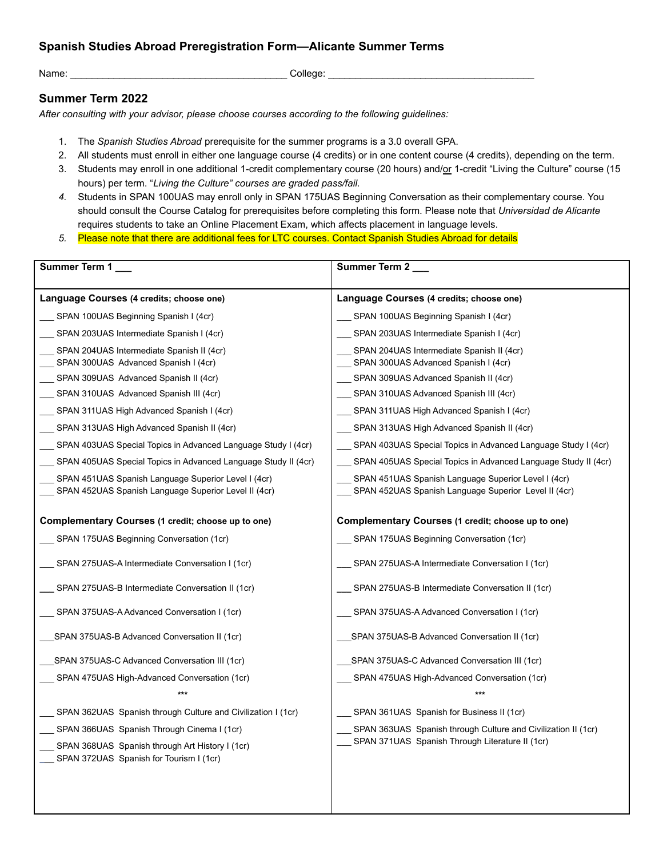## **Spanish Studies Abroad Preregistration Form—Alicante Summer Terms**

Name: \_\_\_\_\_\_\_\_\_\_\_\_\_\_\_\_\_\_\_\_\_\_\_\_\_\_\_\_\_\_\_\_\_\_\_\_\_\_\_\_ College: \_\_\_\_\_\_\_\_\_\_\_\_\_\_\_\_\_\_\_\_\_\_\_\_\_\_\_\_\_\_\_\_\_\_\_\_\_\_

## **Summer Term 2022**

*After consulting with your advisor, please choose courses according to the following guidelines:*

- 1. The *Spanish Studies Abroad* prerequisite for the summer programs is a 3.0 overall GPA.
- 2. All students must enroll in either one language course (4 credits) or in one content course (4 credits), depending on the term.
- 3. Students may enroll in one additional 1-credit complementary course (20 hours) and/or 1-credit "Living the Culture" course (15 hours) per term. "*Living the Culture" courses are graded pass/fail.*
- *4.* Students in SPAN 100UAS may enroll only in SPAN 175UAS Beginning Conversation as their complementary course. You should consult the Course Catalog for prerequisites before completing this form. Please note that *Universidad de Alicante* requires students to take an Online Placement Exam, which affects placement in language levels.
- *5.* Please note that there are additional fees for LTC courses. Contact Spanish Studies Abroad for details

| Summer Term 1                                                                                               | <b>Summer Term 2</b>                                                                                        |
|-------------------------------------------------------------------------------------------------------------|-------------------------------------------------------------------------------------------------------------|
| Language Courses (4 credits; choose one)                                                                    | Language Courses (4 credits; choose one)                                                                    |
| SPAN 100UAS Beginning Spanish I (4cr)                                                                       | SPAN 100UAS Beginning Spanish I (4cr)                                                                       |
| SPAN 203UAS Intermediate Spanish I (4cr)                                                                    | SPAN 203UAS Intermediate Spanish I (4cr)                                                                    |
| SPAN 204UAS Intermediate Spanish II (4cr)<br>SPAN 300UAS Advanced Spanish I (4cr)                           | SPAN 204UAS Intermediate Spanish II (4cr)<br>SPAN 300UAS Advanced Spanish I (4cr)                           |
| SPAN 309UAS Advanced Spanish II (4cr)                                                                       | SPAN 309UAS Advanced Spanish II (4cr)                                                                       |
| SPAN 310UAS Advanced Spanish III (4cr)                                                                      | SPAN 310UAS Advanced Spanish III (4cr)                                                                      |
| SPAN 311UAS High Advanced Spanish I (4cr)                                                                   | SPAN 311UAS High Advanced Spanish I (4cr)                                                                   |
| SPAN 313UAS High Advanced Spanish II (4cr)                                                                  | SPAN 313UAS High Advanced Spanish II (4cr)                                                                  |
| SPAN 403UAS Special Topics in Advanced Language Study I (4cr)                                               | SPAN 403UAS Special Topics in Advanced Language Study I (4cr)                                               |
| SPAN 405UAS Special Topics in Advanced Language Study II (4cr)                                              | ___ SPAN 405UAS Special Topics in Advanced Language Study II (4cr)                                          |
| SPAN 451UAS Spanish Language Superior Level I (4cr)<br>SPAN 452UAS Spanish Language Superior Level II (4cr) | SPAN 451UAS Spanish Language Superior Level I (4cr)<br>SPAN 452UAS Spanish Language Superior Level II (4cr) |
| Complementary Courses (1 credit; choose up to one)                                                          | Complementary Courses (1 credit; choose up to one)                                                          |
| SPAN 175UAS Beginning Conversation (1cr)                                                                    | SPAN 175UAS Beginning Conversation (1cr)                                                                    |
| SPAN 275UAS-A Intermediate Conversation I (1cr)                                                             | SPAN 275UAS-A Intermediate Conversation I (1cr)                                                             |
| SPAN 275UAS-B Intermediate Conversation II (1cr)                                                            | SPAN 275UAS-B Intermediate Conversation II (1cr)                                                            |
| SPAN 375UAS-A Advanced Conversation I (1cr)                                                                 | SPAN 375UAS-A Advanced Conversation I (1cr)                                                                 |
| SPAN 375UAS-B Advanced Conversation II (1cr)                                                                | SPAN 375UAS-B Advanced Conversation II (1cr)                                                                |
| SPAN 375UAS-C Advanced Conversation III (1cr)                                                               | SPAN 375UAS-C Advanced Conversation III (1cr)                                                               |
| SPAN 475UAS High-Advanced Conversation (1cr)                                                                | SPAN 475UAS High-Advanced Conversation (1cr)                                                                |
| ***                                                                                                         | ***                                                                                                         |
| SPAN 362UAS Spanish through Culture and Civilization I (1cr)                                                | SPAN 361UAS Spanish for Business II (1cr)                                                                   |
| SPAN 366UAS Spanish Through Cinema I (1cr)                                                                  | SPAN 363UAS Spanish through Culture and Civilization II (1cr)                                               |
| SPAN 368UAS Spanish through Art History I (1cr)<br>SPAN 372UAS Spanish for Tourism I (1cr)                  | SPAN 371UAS Spanish Through Literature II (1cr)                                                             |
|                                                                                                             |                                                                                                             |